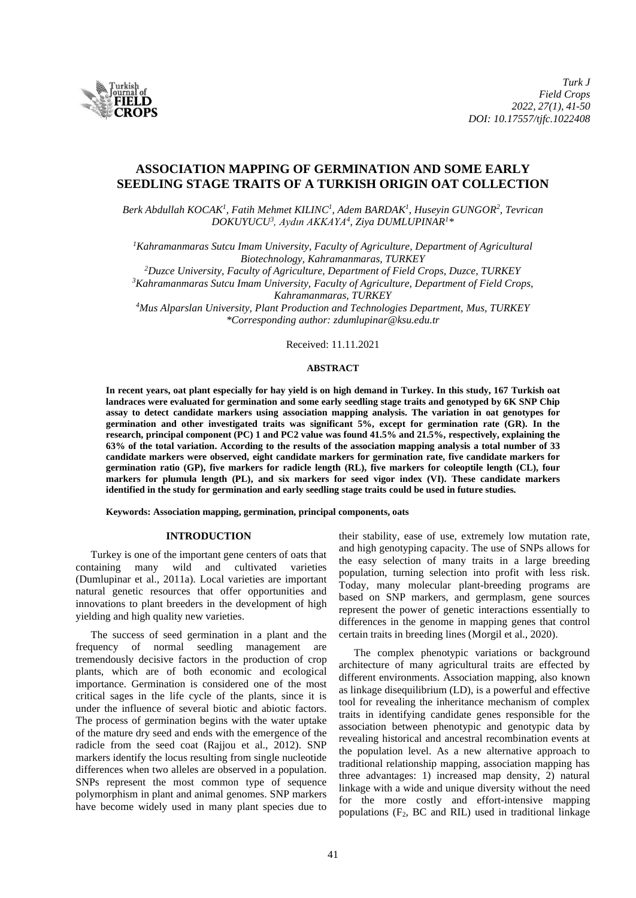

# **ASSOCIATION MAPPING OF GERMINATION AND SOME EARLY SEEDLING STAGE TRAITS OF A TURKISH ORIGIN OAT COLLECTION**

*Berk Abdullah KOCAK<sup>1</sup> , Fatih Mehmet KILINC 1 , Adem BARDAK<sup>1</sup> , Huseyin GUNGOR 2 , Tevrican DOKUYUCU<sup>3</sup> , Aydın AKKAYA<sup>4</sup> , Ziya DUMLUPINAR<sup>1</sup>\**

*<sup>1</sup>Kahramanmaras Sutcu Imam University, Faculty of Agriculture, Department of Agricultural Biotechnology, Kahramanmaras, TURKEY* 

*<sup>2</sup>Duzce University, Faculty of Agriculture, Department of Field Crops, Duzce, TURKEY*

*<sup>3</sup>Kahramanmaras Sutcu Imam University, Faculty of Agriculture, Department of Field Crops, Kahramanmaras, TURKEY*

*<sup>4</sup>Mus Alparslan University, Plant Production and Technologies Department, Mus, TURKEY \*Corresponding author: zdumlupinar@ksu.edu.tr*

Received: 11.11.2021

# **ABSTRACT**

**In recent years, oat plant especially for hay yield is on high demand in Turkey. In this study, 167 Turkish oat landraces were evaluated for germination and some early seedling stage traits and genotyped by 6K SNP Chip assay to detect candidate markers using association mapping analysis. The variation in oat genotypes for germination and other investigated traits was significant 5%, except for germination rate (GR). In the research, principal component (PC) 1 and PC2 value was found 41.5% and 21.5%, respectively, explaining the 63% of the total variation. According to the results of the association mapping analysis a total number of 33 candidate markers were observed, eight candidate markers for germination rate, five candidate markers for germination ratio (GP), five markers for radicle length (RL), five markers for coleoptile length (CL), four markers for plumula length (PL), and six markers for seed vigor index (VI). These candidate markers identified in the study for germination and early seedling stage traits could be used in future studies.**

**Keywords: Association mapping, germination, principal components, oats**

### **INTRODUCTION**

Turkey is one of the important gene centers of oats that containing many wild and cultivated varieties (Dumlupinar et al., 2011a). Local varieties are important natural genetic resources that offer opportunities and innovations to plant breeders in the development of high yielding and high quality new varieties.

The success of seed germination in a plant and the frequency of normal seedling management are tremendously decisive factors in the production of crop plants, which are of both economic and ecological importance. Germination is considered one of the most critical sages in the life cycle of the plants, since it is under the influence of several biotic and abiotic factors. The process of germination begins with the water uptake of the mature dry seed and ends with the emergence of the radicle from the seed coat (Rajjou et al., 2012). SNP markers identify the locus resulting from single nucleotide differences when two alleles are observed in a population. SNPs represent the most common type of sequence polymorphism in plant and animal genomes. SNP markers have become widely used in many plant species due to their stability, ease of use, extremely low mutation rate, and high genotyping capacity. The use of SNPs allows for the easy selection of many traits in a large breeding population, turning selection into profit with less risk. Today, many molecular plant-breeding programs are based on SNP markers, and germplasm, gene sources represent the power of genetic interactions essentially to differences in the genome in mapping genes that control certain traits in breeding lines (Morgil et al., 2020).

The complex phenotypic variations or background architecture of many agricultural traits are effected by different environments. Association mapping, also known as linkage disequilibrium (LD), is a powerful and effective tool for revealing the inheritance mechanism of complex traits in identifying candidate genes responsible for the association between phenotypic and genotypic data by revealing historical and ancestral recombination events at the population level. As a new alternative approach to traditional relationship mapping, association mapping has three advantages: 1) increased map density, 2) natural linkage with a wide and unique diversity without the need for the more costly and effort-intensive mapping populations  $(F_2, BC \text{ and } RIL)$  used in traditional linkage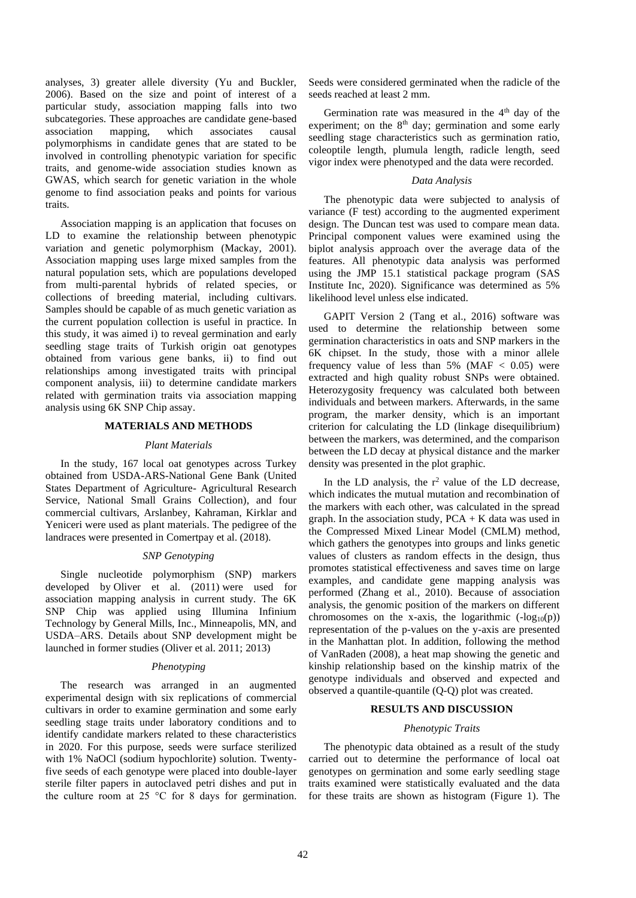analyses, 3) greater allele diversity (Yu and Buckler, 2006). Based on the size and point of interest of a particular study, association mapping falls into two subcategories. These approaches are candidate gene-based association mapping, which associates causal polymorphisms in candidate genes that are stated to be involved in controlling phenotypic variation for specific traits, and genome-wide association studies known as GWAS, which search for genetic variation in the whole genome to find association peaks and points for various traits.

Association mapping is an application that focuses on LD to examine the relationship between phenotypic variation and genetic polymorphism (Mackay, 2001). Association mapping uses large mixed samples from the natural population sets, which are populations developed from multi-parental hybrids of related species, or collections of breeding material, including cultivars. Samples should be capable of as much genetic variation as the current population collection is useful in practice. In this study, it was aimed i) to reveal germination and early seedling stage traits of Turkish origin oat genotypes obtained from various gene banks, ii) to find out relationships among investigated traits with principal component analysis, iii) to determine candidate markers related with germination traits via association mapping analysis using 6K SNP Chip assay.

# **MATERIALS AND METHODS**

#### *Plant Materials*

In the study, 167 local oat genotypes across Turkey obtained from USDA-ARS-National Gene Bank (United States Department of Agriculture- Agricultural Research Service, National Small Grains Collection), and four commercial cultivars, Arslanbey, Kahraman, Kirklar and Yeniceri were used as plant materials. The pedigree of the landraces were presented in Comertpay et al. (2018).

#### *SNP Genotyping*

Single nucleotide polymorphism (SNP) markers developed by Oliver et al. (2011) were used for association mapping analysis in current study. The 6K SNP Chip was applied using Illumina Infinium Technology by General Mills, Inc., Minneapolis, MN, and USDA–ARS. Details about SNP development might be launched in former studies (Oliver et al. 2011; 2013)

#### *Phenotyping*

The research was arranged in an augmented experimental design with six replications of commercial cultivars in order to examine germination and some early seedling stage traits under laboratory conditions and to identify candidate markers related to these characteristics in 2020. For this purpose, seeds were surface sterilized with 1% NaOCl (sodium hypochlorite) solution. Twentyfive seeds of each genotype were placed into double-layer sterile filter papers in autoclaved petri dishes and put in the culture room at 25  $\degree$ C for 8 days for germination.

Seeds were considered germinated when the radicle of the seeds reached at least 2 mm.

Germination rate was measured in the  $4<sup>th</sup>$  day of the experiment; on the  $8<sup>th</sup>$  day; germination and some early seedling stage characteristics such as germination ratio, coleoptile length, plumula length, radicle length, seed vigor index were phenotyped and the data were recorded.

# *Data Analysis*

The phenotypic data were subjected to analysis of variance (F test) according to the augmented experiment design. The Duncan test was used to compare mean data. Principal component values were examined using the biplot analysis approach over the average data of the features. All phenotypic data analysis was performed using the JMP 15.1 statistical package program (SAS Institute Inc, 2020). Significance was determined as 5% likelihood level unless else indicated.

GAPIT Version 2 (Tang et al., 2016) software was used to determine the relationship between some germination characteristics in oats and SNP markers in the 6K chipset. In the study, those with a minor allele frequency value of less than  $5\%$  (MAF  $< 0.05$ ) were extracted and high quality robust SNPs were obtained. Heterozygosity frequency was calculated both between individuals and between markers. Afterwards, in the same program, the marker density, which is an important criterion for calculating the LD (linkage disequilibrium) between the markers, was determined, and the comparison between the LD decay at physical distance and the marker density was presented in the plot graphic.

In the LD analysis, the  $r^2$  value of the LD decrease, which indicates the mutual mutation and recombination of the markers with each other, was calculated in the spread graph. In the association study,  $PCA + K$  data was used in the Compressed Mixed Linear Model (CMLM) method, which gathers the genotypes into groups and links genetic values of clusters as random effects in the design, thus promotes statistical effectiveness and saves time on large examples, and candidate gene mapping analysis was performed (Zhang et al., 2010). Because of association analysis, the genomic position of the markers on different chromosomes on the x-axis, the logarithmic  $(-\log_{10}(p))$ representation of the p-values on the y-axis are presented in the Manhattan plot. In addition, following the method of VanRaden (2008), a heat map showing the genetic and kinship relationship based on the kinship matrix of the genotype individuals and observed and expected and observed a quantile-quantile (Q-Q) plot was created.

# **RESULTS AND DISCUSSION**

# *Phenotypic Traits*

The phenotypic data obtained as a result of the study carried out to determine the performance of local oat genotypes on germination and some early seedling stage traits examined were statistically evaluated and the data for these traits are shown as histogram (Figure 1). The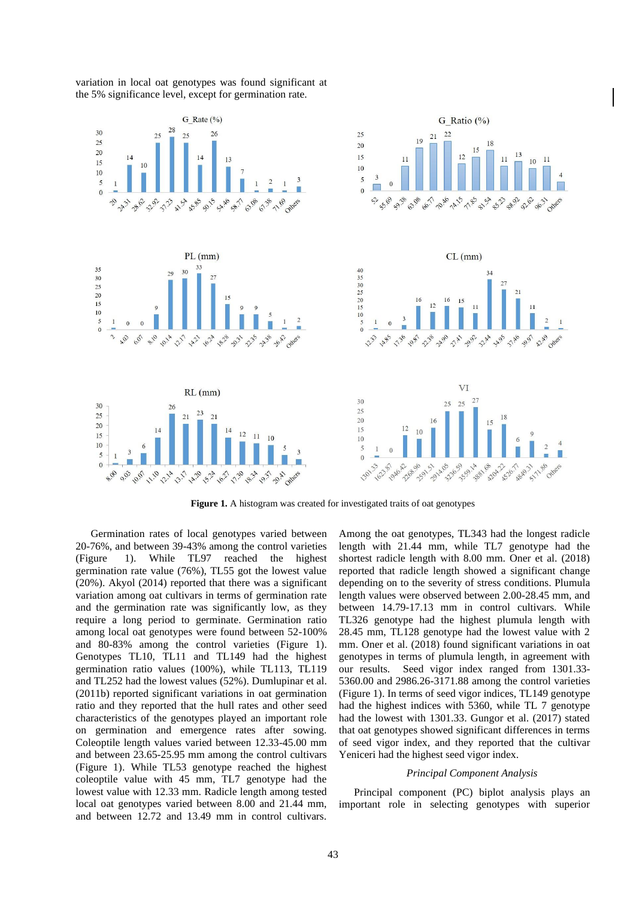

variation in local oat genotypes was found significant at the 5% significance level, except for germination rate.

**Figure 1.** A histogram was created for investigated traits of oat genotypes

Germination rates of local genotypes varied between 20-76%, and between 39-43% among the control varieties (Figure 1). While TL97 reached the highest germination rate value (76%), TL55 got the lowest value (20%). Akyol (2014) reported that there was a significant variation among oat cultivars in terms of germination rate and the germination rate was significantly low, as they require a long period to germinate. Germination ratio among local oat genotypes were found between 52-100% and 80-83% among the control varieties (Figure 1). Genotypes TL10, TL11 and TL149 had the highest germination ratio values (100%), while TL113, TL119 and TL252 had the lowest values (52%). Dumlupinar et al. (2011b) reported significant variations in oat germination ratio and they reported that the hull rates and other seed characteristics of the genotypes played an important role on germination and emergence rates after sowing. Coleoptile length values varied between 12.33-45.00 mm and between 23.65-25.95 mm among the control cultivars (Figure 1). While TL53 genotype reached the highest coleoptile value with 45 mm, TL7 genotype had the lowest value with 12.33 mm. Radicle length among tested local oat genotypes varied between 8.00 and 21.44 mm, and between 12.72 and 13.49 mm in control cultivars. Among the oat genotypes, TL343 had the longest radicle length with 21.44 mm, while TL7 genotype had the shortest radicle length with 8.00 mm. Oner et al. (2018) reported that radicle length showed a significant change depending on to the severity of stress conditions. Plumula length values were observed between 2.00-28.45 mm, and between 14.79-17.13 mm in control cultivars. While TL326 genotype had the highest plumula length with 28.45 mm, TL128 genotype had the lowest value with 2 mm. Oner et al. (2018) found significant variations in oat genotypes in terms of plumula length, in agreement with our results. Seed vigor index ranged from 1301.33- 5360.00 and 2986.26-3171.88 among the control varieties (Figure 1). In terms of seed vigor indices, TL149 genotype had the highest indices with 5360, while TL 7 genotype had the lowest with 1301.33. Gungor et al. (2017) stated that oat genotypes showed significant differences in terms of seed vigor index, and they reported that the cultivar Yeniceri had the highest seed vigor index.

### *Principal Component Analysis*

Principal component (PC) biplot analysis plays an important role in selecting genotypes with superior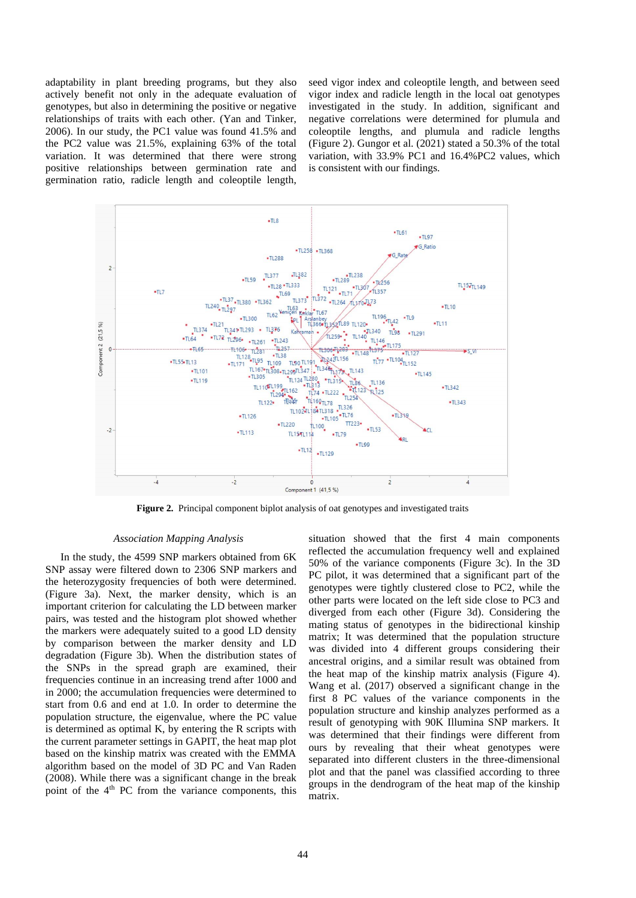adaptability in plant breeding programs, but they also actively benefit not only in the adequate evaluation of genotypes, but also in determining the positive or negative relationships of traits with each other. (Yan and Tinker, 2006). In our study, the PC1 value was found 41.5% and the PC2 value was 21.5%, explaining 63% of the total variation. It was determined that there were strong positive relationships between germination rate and germination ratio, radicle length and coleoptile length, seed vigor index and coleoptile length, and between seed vigor index and radicle length in the local oat genotypes investigated in the study. In addition, significant and negative correlations were determined for plumula and coleoptile lengths, and plumula and radicle lengths (Figure 2). Gungor et al. (2021) stated a 50.3% of the total variation, with 33.9% PC1 and 16.4%PC2 values, which is consistent with our findings.



**Figure 2.** Principal component biplot analysis of oat genotypes and investigated traits

# *Association Mapping Analysis*

In the study, the 4599 SNP markers obtained from 6K SNP assay were filtered down to 2306 SNP markers and the heterozygosity frequencies of both were determined. (Figure 3a). Next, the marker density, which is an important criterion for calculating the LD between marker pairs, was tested and the histogram plot showed whether the markers were adequately suited to a good LD density by comparison between the marker density and LD degradation (Figure 3b). When the distribution states of the SNPs in the spread graph are examined, their frequencies continue in an increasing trend after 1000 and in 2000; the accumulation frequencies were determined to start from 0.6 and end at 1.0. In order to determine the population structure, the eigenvalue, where the PC value is determined as optimal K, by entering the R scripts with the current parameter settings in GAPIT, the heat map plot based on the kinship matrix was created with the EMMA algorithm based on the model of 3D PC and Van Raden (2008). While there was a significant change in the break point of the  $4<sup>th</sup>$  PC from the variance components, this

situation showed that the first 4 main components reflected the accumulation frequency well and explained 50% of the variance components (Figure 3c). In the 3D PC pilot, it was determined that a significant part of the genotypes were tightly clustered close to PC2, while the other parts were located on the left side close to PC3 and diverged from each other (Figure 3d). Considering the mating status of genotypes in the bidirectional kinship matrix; It was determined that the population structure was divided into 4 different groups considering their ancestral origins, and a similar result was obtained from the heat map of the kinship matrix analysis (Figure 4). Wang et al. (2017) observed a significant change in the first 8 PC values of the variance components in the population structure and kinship analyzes performed as a result of genotyping with 90K Illumina SNP markers. It was determined that their findings were different from ours by revealing that their wheat genotypes were separated into different clusters in the three-dimensional plot and that the panel was classified according to three groups in the dendrogram of the heat map of the kinship matrix.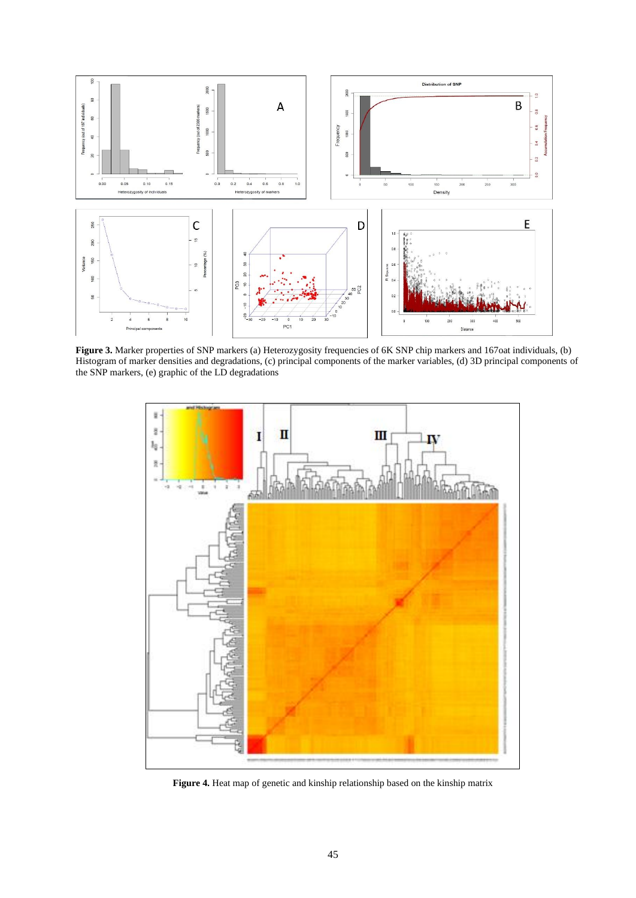

**Figure 3.** Marker properties of SNP markers (a) Heterozygosity frequencies of 6K SNP chip markers and 167oat individuals, (b) Histogram of marker densities and degradations, (c) principal components of the marker variables, (d) 3D principal components of the SNP markers, (e) graphic of the LD degradations



**Figure 4.** Heat map of genetic and kinship relationship based on the kinship matrix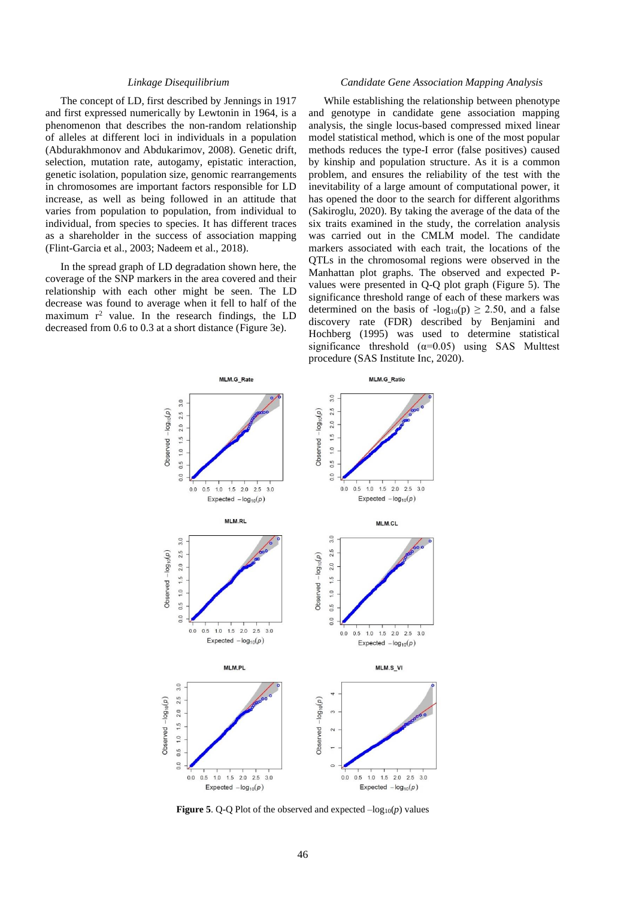### *Linkage Disequilibrium*

The concept of LD, first described by Jennings in 1917 and first expressed numerically by Lewtonin in 1964, is a phenomenon that describes the non-random relationship of alleles at different loci in individuals in a population (Abdurakhmonov and Abdukarimov, 2008). Genetic drift, selection, mutation rate, autogamy, epistatic interaction, genetic isolation, population size, genomic rearrangements in chromosomes are important factors responsible for LD increase, as well as being followed in an attitude that varies from population to population, from individual to individual, from species to species. It has different traces as a shareholder in the success of association mapping (Flint-Garcia et al., 2003; Nadeem et al., 2018).

In the spread graph of LD degradation shown here, the coverage of the SNP markers in the area covered and their relationship with each other might be seen. The LD decrease was found to average when it fell to half of the maximum  $r^2$  value. In the research findings, the LD decreased from 0.6 to 0.3 at a short distance (Figure 3e).

### *Candidate Gene Association Mapping Analysis*

While establishing the relationship between phenotype and genotype in candidate gene association mapping analysis, the single locus-based compressed mixed linear model statistical method, which is one of the most popular methods reduces the type-I error (false positives) caused by kinship and population structure. As it is a common problem, and ensures the reliability of the test with the inevitability of a large amount of computational power, it has opened the door to the search for different algorithms (Sakiroglu, 2020). By taking the average of the data of the six traits examined in the study, the correlation analysis was carried out in the CMLM model. The candidate markers associated with each trait, the locations of the QTLs in the chromosomal regions were observed in the Manhattan plot graphs. The observed and expected Pvalues were presented in Q-Q plot graph (Figure 5). The significance threshold range of each of these markers was determined on the basis of  $-log_{10}(p) \ge 2.50$ , and a false discovery rate (FDR) described by Benjamini and Hochberg (1995) was used to determine statistical significance threshold  $(\alpha=0.05)$  using SAS Multtest procedure (SAS Institute Inc, 2020).



**Figure 5.** Q-Q Plot of the observed and expected  $-\log_{10}(p)$  values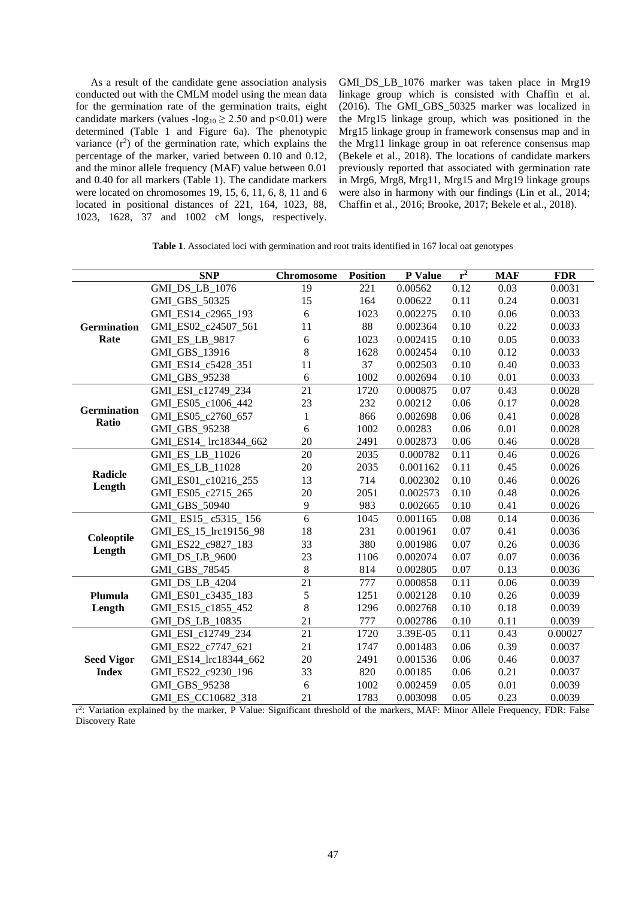As a result of the candidate gene association analysis conducted out with the CMLM model using the mean data for the germination rate of the germination traits, eight candidate markers (values  $-log_{10} \ge 2.50$  and  $p < 0.01$ ) were determined (Table 1 and Figure 6a). The phenotypic variance  $(r^2)$  of the germination rate, which explains the percentage of the marker, varied between 0.10 and 0.12, and the minor allele frequency (MAF) value between 0.01 and 0.40 for all markers (Table 1). The candidate markers were located on chromosomes 19, 15, 6, 11, 6, 8, 11 and 6 located in positional distances of 221, 164, 1023, 88, 1023, 1628, 37 and 1002 cM longs, respectively.

GMI\_DS\_LB\_1076 marker was taken place in Mrg19 linkage group which is consisted with Chaffin et al. (2016). The GMI\_GBS\_50325 marker was localized in the Mrg15 linkage group, which was positioned in the Mrg15 linkage group in framework consensus map and in the Mrg11 linkage group in oat reference consensus map (Bekele et al., 2018). The locations of candidate markers previously reported that associated with germination rate in Mrg6, Mrg8, Mrg11, Mrg15 and Mrg19 linkage groups were also in harmony with our findings (Lin et al., 2014; Chaffin et al., 2016; Brooke, 2017; Bekele et al., 2018).

**Table 1**. Associated loci with germination and root traits identified in 167 local oat genotypes

|                                   | <b>SNP</b>             | <b>Chromosome</b> | <b>Position</b> | P Value  | $r^2$ | <b>MAF</b> | <b>FDR</b> |
|-----------------------------------|------------------------|-------------------|-----------------|----------|-------|------------|------------|
| <b>Germination</b><br>Rate        | GMI_DS_LB_1076         | 19                | 221             | 0.00562  | 0.12  | 0.03       | 0.0031     |
|                                   | GMI GBS 50325          | 15                | 164             | 0.00622  | 0.11  | 0.24       | 0.0031     |
|                                   | GMI_ES14_c2965_193     | 6                 | 1023            | 0.002275 | 0.10  | 0.06       | 0.0033     |
|                                   | GMI ES02 c24507 561    | 11                | 88              | 0.002364 | 0.10  | 0.22       | 0.0033     |
|                                   | <b>GMI ES LB 9817</b>  | 6                 | 1023            | 0.002415 | 0.10  | 0.05       | 0.0033     |
|                                   | GMI_GBS_13916          | 8                 | 1628            | 0.002454 | 0.10  | 0.12       | 0.0033     |
|                                   | GMI_ES14_c5428_351     | 11                | 37              | 0.002503 | 0.10  | 0.40       | 0.0033     |
|                                   | <b>GMI GBS 95238</b>   | 6                 | 1002            | 0.002694 | 0.10  | 0.01       | 0.0033     |
| <b>Germination</b><br>Ratio       | GMI ESI c12749 234     | 21                | 1720            | 0.000875 | 0.07  | 0.43       | 0.0028     |
|                                   | GMI ES05 c1006 442     | 23                | 232             | 0.00212  | 0.06  | 0.17       | 0.0028     |
|                                   | GMI ES05 c2760 657     | $\mathbf{1}$      | 866             | 0.002698 | 0.06  | 0.41       | 0.0028     |
|                                   | GMI_GBS_95238          | 6                 | 1002            | 0.00283  | 0.06  | 0.01       | 0.0028     |
|                                   | GMI_ES14_ lrc18344_662 | 20                | 2491            | 0.002873 | 0.06  | 0.46       | 0.0028     |
| Radicle<br>Length                 | GMI_ES_LB_11026        | 20                | 2035            | 0.000782 | 0.11  | 0.46       | 0.0026     |
|                                   | GMI_ES_LB_11028        | 20                | 2035            | 0.001162 | 0.11  | 0.45       | 0.0026     |
|                                   | GMI_ES01_c10216_255    | 13                | 714             | 0.002302 | 0.10  | 0.46       | 0.0026     |
|                                   | GMI ES05 c2715 265     | 20                | 2051            | 0.002573 | 0.10  | 0.48       | 0.0026     |
|                                   | GMI_GBS_50940          | 9                 | 983             | 0.002665 | 0.10  | 0.41       | 0.0026     |
| Coleoptile<br>Length              | GMI ES15 c5315 156     | 6                 | 1045            | 0.001165 | 0.08  | 0.14       | 0.0036     |
|                                   | GMI_ES_15_lrc19156_98  | 18                | 231             | 0.001961 | 0.07  | 0.41       | 0.0036     |
|                                   | GMI_ES22_c9827_183     | 33                | 380             | 0.001986 | 0.07  | 0.26       | 0.0036     |
|                                   | <b>GMI DS LB 9600</b>  | 23                | 1106            | 0.002074 | 0.07  | 0.07       | 0.0036     |
|                                   | <b>GMI GBS 78545</b>   | 8                 | 814             | 0.002805 | 0.07  | 0.13       | 0.0036     |
| Plumula<br>Length                 | <b>GMI DS LB 4204</b>  | $\overline{21}$   | 777             | 0.000858 | 0.11  | 0.06       | 0.0039     |
|                                   | GMI_ES01_c3435_183     | 5                 | 1251            | 0.002128 | 0.10  | 0.26       | 0.0039     |
|                                   | GMI_ES15_c1855_452     | 8                 | 1296            | 0.002768 | 0.10  | 0.18       | 0.0039     |
|                                   | GMI_DS_LB_10835        | 21                | 777             | 0.002786 | 0.10  | 0.11       | 0.0039     |
| <b>Seed Vigor</b><br><b>Index</b> | GMI_ESI_c12749_234     | 21                | 1720            | 3.39E-05 | 0.11  | 0.43       | 0.00027    |
|                                   | GMI ES22 c7747 621     | 21                | 1747            | 0.001483 | 0.06  | 0.39       | 0.0037     |
|                                   | GMI ES14 lrc18344 662  | 20                | 2491            | 0.001536 | 0.06  | 0.46       | 0.0037     |
|                                   | GMI_ES22_c9230_196     | 33                | 820             | 0.00185  | 0.06  | 0.21       | 0.0037     |
|                                   | GMI_GBS_95238          | 6                 | 1002            | 0.002459 | 0.05  | 0.01       | 0.0039     |
|                                   | GMI ES CC10682 318     | 21                | 1783            | 0.003098 | 0.05  | 0.23       | 0.0039     |

r 2 : Variation explained by the marker, P Value: Significant threshold of the markers, MAF: Minor Allele Frequency, FDR: False Discovery Rate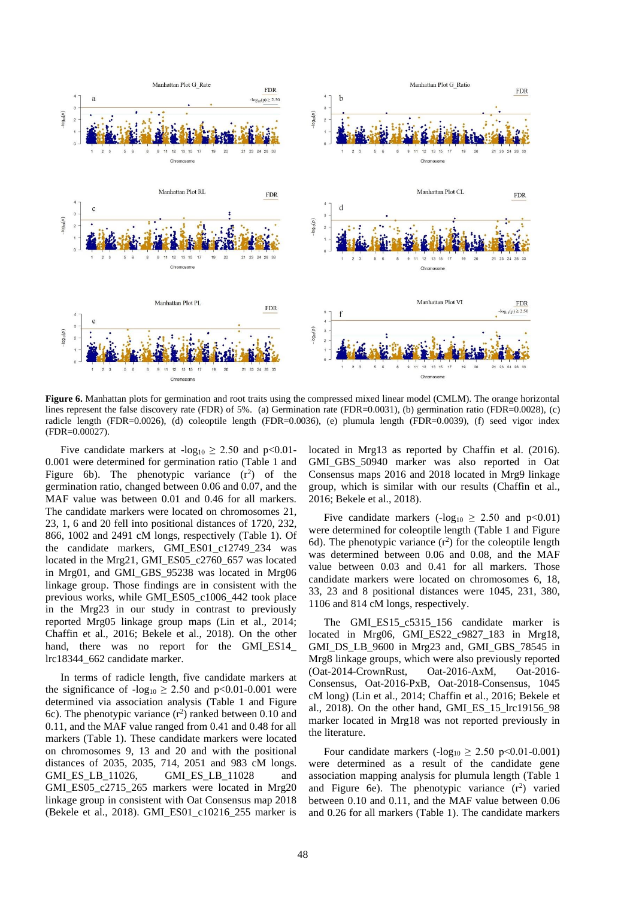

**Figure 6.** Manhattan plots for germination and root traits using the compressed mixed linear model (CMLM). The orange horizontal lines represent the false discovery rate (FDR) of 5%. (a) Germination rate (FDR=0.0031), (b) germination ratio (FDR=0.0028), (c) radicle length (FDR=0.0026), (d) coleoptile length (FDR=0.0036), (e) plumula length (FDR=0.0039), (f) seed vigor index (FDR=0.00027).

Five candidate markers at  $-log_{10} \ge 2.50$  and  $p < 0.01$ -0.001 were determined for germination ratio (Table 1 and Figure 6b). The phenotypic variance  $(r^2)$  of the germination ratio, changed between 0.06 and 0.07, and the MAF value was between 0.01 and 0.46 for all markers. The candidate markers were located on chromosomes 21, 23, 1, 6 and 20 fell into positional distances of 1720, 232, 866, 1002 and 2491 cM longs, respectively (Table 1). Of the candidate markers, GMI\_ES01\_c12749\_234 was located in the Mrg21, GMI\_ES05\_c2760\_657 was located in Mrg01, and GMI\_GBS\_95238 was located in Mrg06 linkage group. Those findings are in consistent with the previous works, while GMI\_ES05\_c1006\_442 took place in the Mrg23 in our study in contrast to previously reported Mrg05 linkage group maps (Lin et al., 2014; Chaffin et al., 2016; Bekele et al., 2018). On the other hand, there was no report for the GMI ES14 lrc18344\_662 candidate marker.

In terms of radicle length, five candidate markers at the significance of  $-log_{10} \ge 2.50$  and p<0.01-0.001 were determined via association analysis (Table 1 and Figure 6c). The phenotypic variance  $(r^2)$  ranked between 0.10 and 0.11, and the MAF value ranged from 0.41 and 0.48 for all markers (Table 1). These candidate markers were located on chromosomes 9, 13 and 20 and with the positional distances of 2035, 2035, 714, 2051 and 983 cM longs. GMI\_ES\_LB\_11026, GMI\_ES\_LB\_11028 and GMI\_ES05\_c2715\_265 markers were located in Mrg20 linkage group in consistent with Oat Consensus map 2018 (Bekele et al., 2018). GMI\_ES01\_c10216\_255 marker is

located in Mrg13 as reported by Chaffin et al. (2016). GMI\_GBS\_50940 marker was also reported in Oat Consensus maps 2016 and 2018 located in Mrg9 linkage group, which is similar with our results (Chaffin et al., 2016; Bekele et al., 2018).

Five candidate markers ( $-log_{10} \ge 2.50$  and  $p < 0.01$ ) were determined for coleoptile length (Table 1 and Figure 6d). The phenotypic variance  $(r^2)$  for the coleoptile length was determined between 0.06 and 0.08, and the MAF value between 0.03 and 0.41 for all markers. Those candidate markers were located on chromosomes 6, 18, 33, 23 and 8 positional distances were 1045, 231, 380, 1106 and 814 cM longs, respectively.

The GMI\_ES15\_c5315\_156 candidate marker is located in Mrg06, GMI\_ES22\_c9827\_183 in Mrg18, GMI\_DS\_LB\_9600 in Mrg23 and, GMI\_GBS\_78545 in Mrg8 linkage groups, which were also previously reported (Oat-2014-CrownRust, Oat-2016-AxM, Oat-2016- Consensus, Oat-2016-PxB, Oat-2018-Consensus, 1045 cM long) (Lin et al., 2014; Chaffin et al., 2016; Bekele et al., 2018). On the other hand, GMI\_ES\_15\_lrc19156\_98 marker located in Mrg18 was not reported previously in the literature.

Four candidate markers  $(-\log_{10} \ge 2.50 \text{ p} < 0.01 - 0.001)$ were determined as a result of the candidate gene association mapping analysis for plumula length (Table 1 and Figure 6e). The phenotypic variance  $(r^2)$  varied between 0.10 and 0.11, and the MAF value between 0.06 and 0.26 for all markers (Table 1). The candidate markers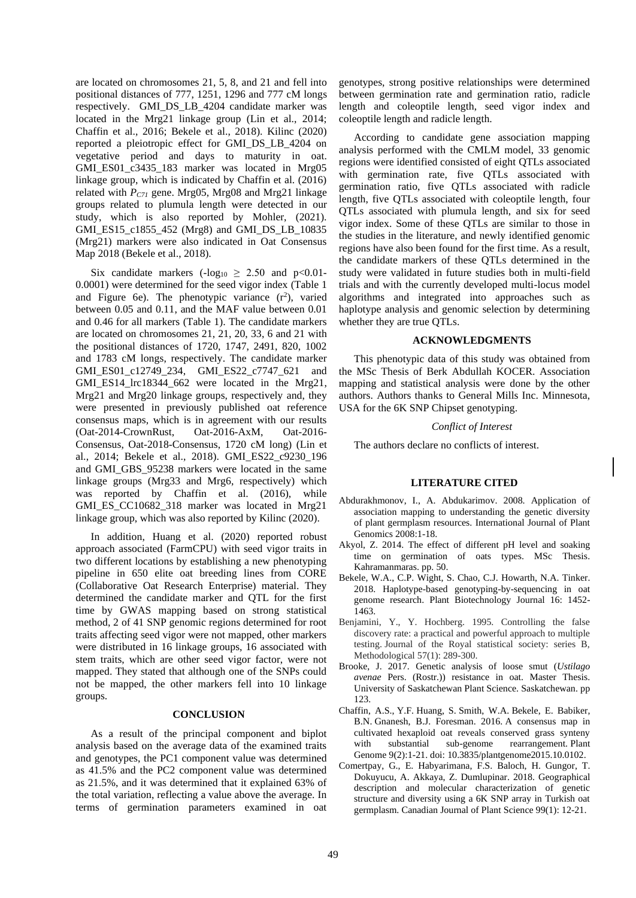are located on chromosomes 21, 5, 8, and 21 and fell into positional distances of 777, 1251, 1296 and 777 cM longs respectively. GMI\_DS\_LB\_4204 candidate marker was located in the Mrg21 linkage group (Lin et al., 2014; Chaffin et al., 2016; Bekele et al., 2018). Kilinc (2020) reported a pleiotropic effect for GMI\_DS\_LB\_4204 on vegetative period and days to maturity in oat. GMI\_ES01\_c3435\_183 marker was located in Mrg05 linkage group, which is indicated by Chaffin et al. (2016) related with *PC71* gene. Mrg05, Mrg08 and Mrg21 linkage groups related to plumula length were detected in our study, which is also reported by Mohler, (2021). GMI\_ES15\_c1855\_452 (Mrg8) and GMI\_DS\_LB\_10835 (Mrg21) markers were also indicated in Oat Consensus Map 2018 (Bekele et al., 2018).

Six candidate markers ( $-log_{10} \ge 2.50$  and  $p < 0.01$ -0.0001) were determined for the seed vigor index (Table 1 and Figure 6e). The phenotypic variance  $(r^2)$ , varied between 0.05 and 0.11, and the MAF value between 0.01 and 0.46 for all markers (Table 1). The candidate markers are located on chromosomes 21, 21, 20, 33, 6 and 21 with the positional distances of 1720, 1747, 2491, 820, 1002 and 1783 cM longs, respectively. The candidate marker GMI\_ES01\_c12749\_234, GMI\_ES22\_c7747\_621 and GMI\_ES14\_lrc18344\_662\_were located in the Mrg21, Mrg21 and Mrg20 linkage groups, respectively and, they were presented in previously published oat reference consensus maps, which is in agreement with our results (Oat-2014-CrownRust, Oat-2016-AxM, Oat-2016- Consensus, Oat-2018-Consensus, 1720 cM long) (Lin et al., 2014; Bekele et al., 2018). GMI\_ES22\_c9230\_196 and GMI\_GBS\_95238 markers were located in the same linkage groups (Mrg33 and Mrg6, respectively) which was reported by Chaffin et al. (2016), while GMI\_ES\_CC10682\_318 marker was located in Mrg21 linkage group, which was also reported by Kilinc (2020).

In addition, Huang et al. (2020) reported robust approach associated (FarmCPU) with seed vigor traits in two different locations by establishing a new phenotyping pipeline in 650 elite oat breeding lines from CORE (Collaborative Oat Research Enterprise) material. They determined the candidate marker and QTL for the first time by GWAS mapping based on strong statistical method, 2 of 41 SNP genomic regions determined for root traits affecting seed vigor were not mapped, other markers were distributed in 16 linkage groups, 16 associated with stem traits, which are other seed vigor factor, were not mapped. They stated that although one of the SNPs could not be mapped, the other markers fell into 10 linkage groups.

#### **CONCLUSION**

As a result of the principal component and biplot analysis based on the average data of the examined traits and genotypes, the PC1 component value was determined as 41.5% and the PC2 component value was determined as 21.5%, and it was determined that it explained 63% of the total variation, reflecting a value above the average. In terms of germination parameters examined in oat genotypes, strong positive relationships were determined between germination rate and germination ratio, radicle length and coleoptile length, seed vigor index and coleoptile length and radicle length.

According to candidate gene association mapping analysis performed with the CMLM model, 33 genomic regions were identified consisted of eight QTLs associated with germination rate, five QTLs associated with germination ratio, five QTLs associated with radicle length, five QTLs associated with coleoptile length, four QTLs associated with plumula length, and six for seed vigor index. Some of these QTLs are similar to those in the studies in the literature, and newly identified genomic regions have also been found for the first time. As a result, the candidate markers of these QTLs determined in the study were validated in future studies both in multi-field trials and with the currently developed multi-locus model algorithms and integrated into approaches such as haplotype analysis and genomic selection by determining whether they are true QTLs.

#### **ACKNOWLEDGMENTS**

This phenotypic data of this study was obtained from the MSc Thesis of Berk Abdullah KOCER. Association mapping and statistical analysis were done by the other authors. Authors thanks to General Mills Inc. Minnesota, USA for the 6K SNP Chipset genotyping.

#### *Conflict of Interest*

The authors declare no conflicts of interest.

### **LITERATURE CITED**

- Abdurakhmonov, I., A. Abdukarimov. 2008. Application of association mapping to understanding the genetic diversity of plant germplasm resources. International Journal of Plant Genomics 2008:1-18.
- Akyol, Z. 2014. The effect of different pH level and soaking time on germination of oats types. MSc Thesis. Kahramanmaras. pp. 50.
- Bekele, W.A., C.P. Wight, S. Chao, C.J. Howarth, N.A. Tinker. 2018. Haplotype-based genotyping-by-sequencing in oat genome research. Plant Biotechnology Journal 16: 1452- 1463.
- Benjamini, Y., Y. Hochberg. 1995. Controlling the false discovery rate: a practical and powerful approach to multiple testing. Journal of the Royal statistical society: series B, Methodological 57(1): 289-300.
- Brooke, J. 2017. Genetic analysis of loose smut (*Ustilago avenae* Pers. (Rostr.)) resistance in oat. Master Thesis. University of Saskatchewan Plant Science. Saskatchewan. pp 123.
- Chaffin, A.S., Y.F. Huang, S. Smith, W.A. Bekele, E. Babiker, B.N. Gnanesh, B.J. Foresman. 2016. A consensus map in cultivated hexaploid oat reveals conserved grass synteny with substantial sub-genome rearrangement. Plant Genome 9(2):1-21. doi: 10.3835/plantgenome2015.10.0102.
- Comertpay, G., E. Habyarimana, F.S. Baloch, H. Gungor, T. Dokuyucu, A. Akkaya, Z. Dumlupinar. 2018. Geographical description and molecular characterization of genetic structure and diversity using a 6K SNP array in Turkish oat germplasm. Canadian Journal of Plant Science 99(1): 12-21.